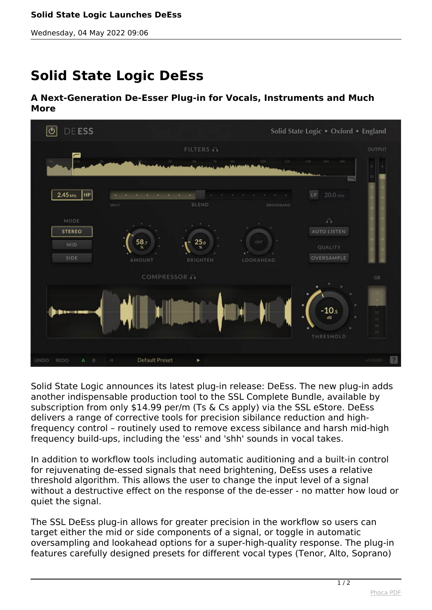*Wednesday, 04 May 2022 09:06*

## **Solid State Logic DeEss**

## **A Next-Generation De-Esser Plug-in for Vocals, Instruments and Much More**



*Solid State Logic announces its latest plug-in release: DeEss. The new plug-in adds another indispensable production tool to the SSL Complete Bundle, available by subscription from only \$14.99 per/m (Ts & Cs apply) via the SSL eStore. DeEss delivers a range of corrective tools for precision sibilance reduction and highfrequency control – routinely used to remove excess sibilance and harsh mid-high frequency build-ups, including the 'ess' and 'shh' sounds in vocal takes.*

*In addition to workflow tools including automatic auditioning and a built-in control for rejuvenating de-essed signals that need brightening, DeEss uses a relative threshold algorithm. This allows the user to change the input level of a signal without a destructive effect on the response of the de-esser - no matter how loud or quiet the signal.*

*The SSL DeEss plug-in allows for greater precision in the workflow so users can target either the mid or side components of a signal, or toggle in automatic oversampling and lookahead options for a super-high-quality response. The plug-in features carefully designed presets for different vocal types (Tenor, Alto, Soprano)*